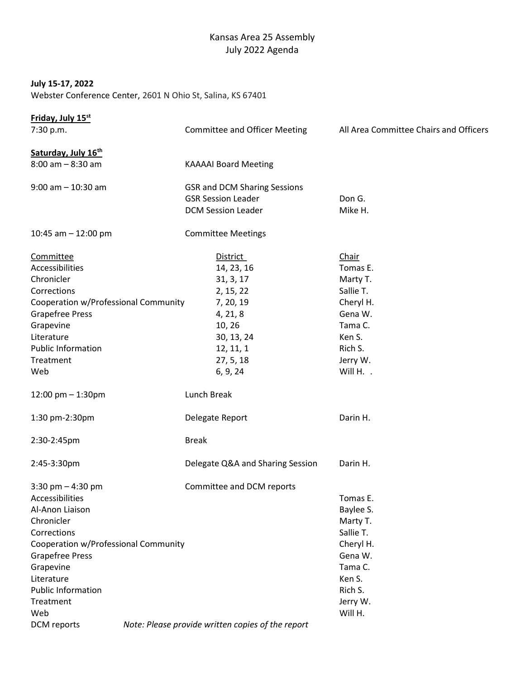# Kansas Area 25 Assembly July 2022 Agenda

## July 15-17, 2022

Webster Conference Center, 2601 N Ohio St, Salina, KS 67401

| Friday, July 15 <sup>st</sup>        |  |                                                   |                                        |
|--------------------------------------|--|---------------------------------------------------|----------------------------------------|
| 7:30 p.m.                            |  | <b>Committee and Officer Meeting</b>              | All Area Committee Chairs and Officers |
| Saturday, July 16th                  |  |                                                   |                                        |
| $8:00$ am $-8:30$ am                 |  | <b>KAAAAI Board Meeting</b>                       |                                        |
| $9:00$ am $-10:30$ am                |  | <b>GSR and DCM Sharing Sessions</b>               |                                        |
|                                      |  | <b>GSR Session Leader</b>                         | Don G.                                 |
|                                      |  | <b>DCM Session Leader</b>                         | Mike H.                                |
| 10:45 am $-$ 12:00 pm                |  | <b>Committee Meetings</b>                         |                                        |
| Committee                            |  | <b>District</b>                                   | Chair                                  |
| Accessibilities                      |  | 14, 23, 16                                        | Tomas E.                               |
| Chronicler                           |  | 31, 3, 17                                         | Marty T.                               |
| Corrections                          |  | 2, 15, 22                                         | Sallie T.                              |
| Cooperation w/Professional Community |  | 7, 20, 19                                         | Cheryl H.                              |
| <b>Grapefree Press</b>               |  | 4, 21, 8                                          | Gena W.                                |
| Grapevine                            |  | 10, 26                                            | Tama C.                                |
| Literature                           |  | 30, 13, 24                                        | Ken S.                                 |
| <b>Public Information</b>            |  | 12, 11, 1                                         | Rich S.                                |
| Treatment                            |  | 27, 5, 18                                         | Jerry W.                               |
| Web                                  |  | 6, 9, 24                                          | Will H. .                              |
| 12:00 pm $-$ 1:30pm                  |  | Lunch Break                                       |                                        |
| 1:30 pm-2:30pm                       |  | Delegate Report                                   | Darin H.                               |
| 2:30-2:45pm                          |  | <b>Break</b>                                      |                                        |
| 2:45-3:30pm                          |  | Delegate Q&A and Sharing Session                  | Darin H.                               |
| 3:30 pm $-$ 4:30 pm                  |  | Committee and DCM reports                         |                                        |
| Accessibilities                      |  |                                                   | Tomas E.                               |
| Al-Anon Liaison                      |  |                                                   | Baylee S.                              |
| Chronicler                           |  |                                                   | Marty T.                               |
| Corrections                          |  |                                                   | Sallie T.                              |
| Cooperation w/Professional Community |  |                                                   | Cheryl H.                              |
| <b>Grapefree Press</b>               |  |                                                   | Gena W.                                |
| Grapevine                            |  |                                                   | Tama C.                                |
| Literature                           |  |                                                   | Ken S.                                 |
| <b>Public Information</b>            |  |                                                   | Rich S.                                |
| Treatment                            |  |                                                   | Jerry W.                               |
| Web                                  |  |                                                   | Will H.                                |
| DCM reports                          |  | Note: Please provide written copies of the report |                                        |